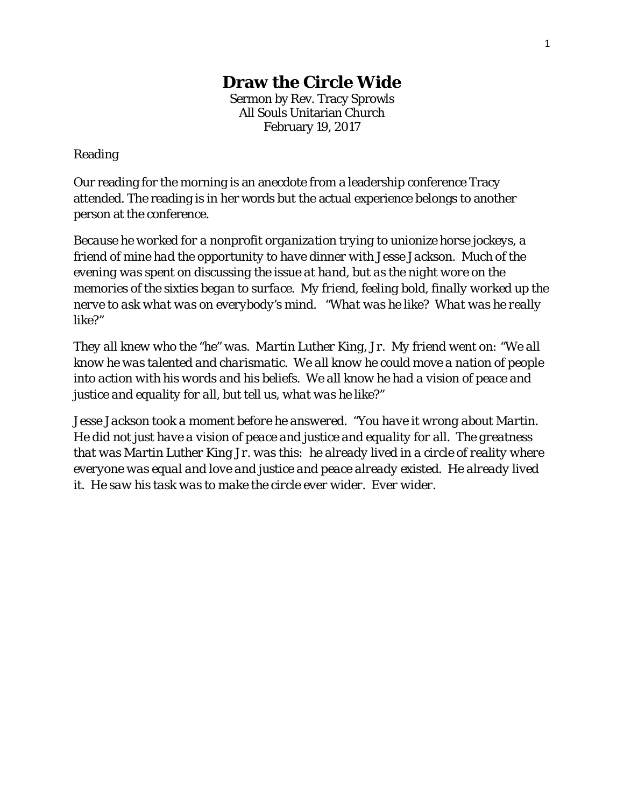## **Draw the Circle Wide**

Sermon by Rev. Tracy Sprowls All Souls Unitarian Church February 19, 2017

## Reading

Our reading for the morning is an anecdote from a leadership conference Tracy attended. The reading is in her words but the actual experience belongs to another person at the conference.

*Because he worked for a nonprofit organization trying to unionize horse jockeys, a friend of mine had the opportunity to have dinner with Jesse Jackson. Much of the evening was spent on discussing the issue at hand, but as the night wore on the memories of the sixties began to surface. My friend, feeling bold, finally worked up the nerve to ask what was on everybody's mind. "What was he like? What was he really like?"*

*They all knew who the "he" was. Martin Luther King, Jr. My friend went on: "We all know he was talented and charismatic. We all know he could move a nation of people into action with his words and his beliefs. We all know he had a vision of peace and justice and equality for all, but tell us, what was he like?"*

*Jesse Jackson took a moment before he answered. "You have it wrong about Martin. He did not just have a vision of peace and justice and equality for all. The greatness that was Martin Luther King Jr. was this: he already lived in a circle of reality where everyone was equal and love and justice and peace already existed. He already lived it. He saw his task was to make the circle ever wider. Ever wider.*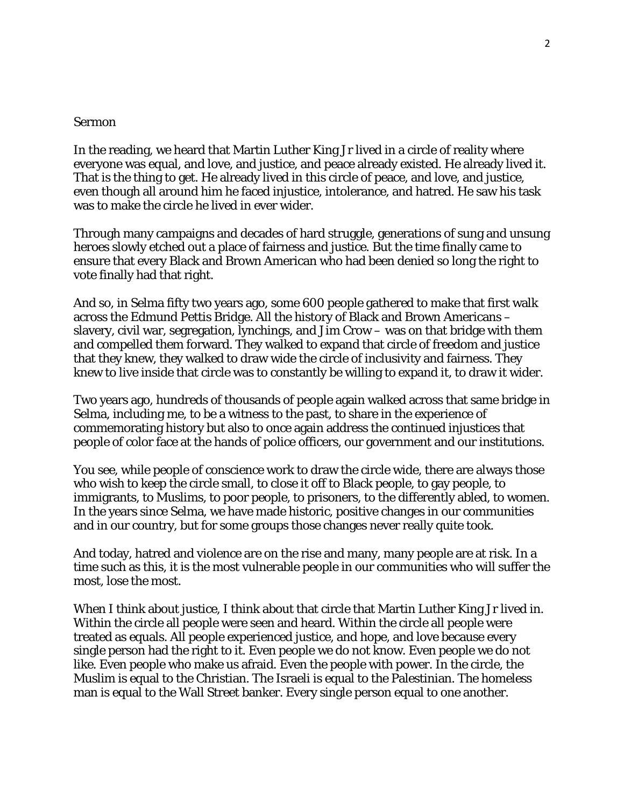## Sermon

In the reading, we heard that Martin Luther King Jr lived in a circle of reality where everyone was equal, and love, and justice, and peace already existed. He already lived it. That is the thing to get. He already lived in this circle of peace, and love, and justice, even though all around him he faced injustice, intolerance, and hatred. He saw his task was to make the circle he lived in ever wider.

Through many campaigns and decades of hard struggle, generations of sung and unsung heroes slowly etched out a place of fairness and justice. But the time finally came to ensure that every Black and Brown American who had been denied so long the right to vote finally had that right.

And so, in Selma fifty two years ago, some 600 people gathered to make that first walk across the Edmund Pettis Bridge. All the history of Black and Brown Americans – slavery, civil war, segregation, lynchings, and Jim Crow – was on that bridge with them and compelled them forward. They walked to expand that circle of freedom and justice that they knew, they walked to draw wide the circle of inclusivity and fairness. They knew to live inside that circle was to constantly be willing to expand it, to draw it wider.

Two years ago, hundreds of thousands of people again walked across that same bridge in Selma, including me, to be a witness to the past, to share in the experience of commemorating history but also to once again address the continued injustices that people of color face at the hands of police officers, our government and our institutions.

You see, while people of conscience work to draw the circle wide, there are always those who wish to keep the circle small, to close it off to Black people, to gay people, to immigrants, to Muslims, to poor people, to prisoners, to the differently abled, to women. In the years since Selma, we have made historic, positive changes in our communities and in our country, but for some groups those changes never really quite took.

And today, hatred and violence are on the rise and many, many people are at risk. In a time such as this, it is the most vulnerable people in our communities who will suffer the most, lose the most.

When I think about justice, I think about that circle that Martin Luther King Jr lived in. Within the circle all people were seen and heard. Within the circle all people were treated as equals. All people experienced justice, and hope, and love because every single person had the right to it. Even people we do not know. Even people we do not like. Even people who make us afraid. Even the people with power. In the circle, the Muslim is equal to the Christian. The Israeli is equal to the Palestinian. The homeless man is equal to the Wall Street banker. Every single person equal to one another.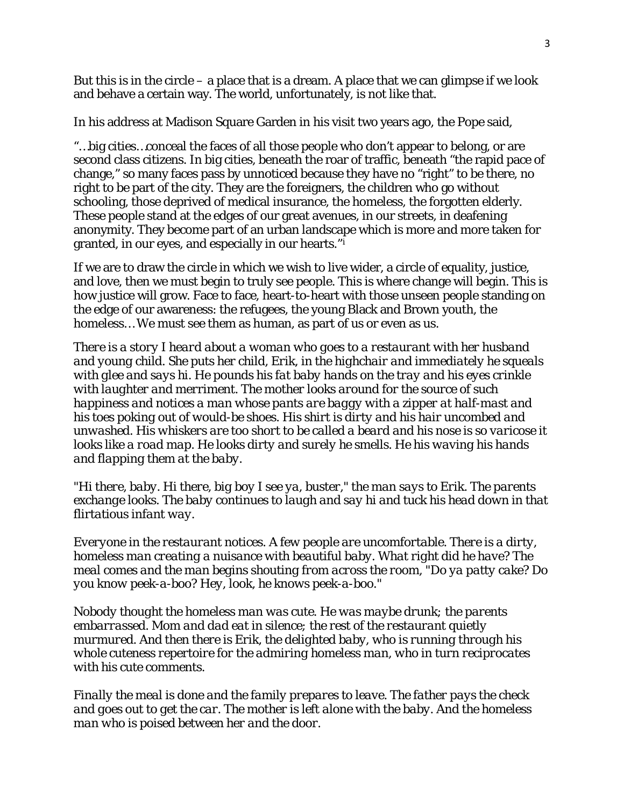But this is in the circle – a place that is a dream. A place that we can glimpse if we look and behave a certain way. The world, unfortunately, is not like that.

In his address at Madison Square Garden in his visit two years ago, the Pope said,

"…big cities…conceal the faces of all those people who don't appear to belong, or are second class citizens. In big cities, beneath the roar of traffic, beneath "the rapid pace of change," so many faces pass by unnoticed because they have no "right" to be there, no right to be part of the city. They are the foreigners, the children who go without schooling, those deprived of medical insurance, the homeless, the forgotten elderly. These people stand at the edges of our great avenues, in our streets, in deafening anonymity. They become part of an urban landscape which is more and more taken for granted, in our eyes, and especially in our hearts."[i](#page-4-0)

If we are to draw the circle in which we wish to live wider, a circle of equality, justice, and love, then we must begin to truly see people. This is where change will begin. This is how justice will grow. Face to face, heart-to-heart with those unseen people standing on the edge of our awareness: the refugees, the young Black and Brown youth, the homeless… We must see them as human, as part of us or even as us.

*There is a story I heard about a woman who goes to a restaurant with her husband and young child. She puts her child, Erik, in the highchair and immediately he squeals with glee and says hi. He pounds his fat baby hands on the tray and his eyes crinkle with laughter and merriment. The mother looks around for the source of such happiness and notices a man whose pants are baggy with a zipper at half-mast and his toes poking out of would-be shoes. His shirt is dirty and his hair uncombed and unwashed. His whiskers are too short to be called a beard and his nose is so varicose it looks like a road map. He looks dirty and surely he smells. He his waving his hands and flapping them at the baby.* 

*"Hi there, baby. Hi there, big boy I see ya, buster," the man says to Erik. The parents exchange looks. The baby continues to laugh and say hi and tuck his head down in that flirtatious infant way.* 

*Everyone in the restaurant notices. A few people are uncomfortable. There is a dirty, homeless man creating a nuisance with beautiful baby. What right did he have? The meal comes and the man begins shouting from across the room, "Do ya patty cake? Do you know peek-a-boo? Hey, look, he knows peek-a-boo."*

*Nobody thought the homeless man was cute. He was maybe drunk; the parents embarrassed. Mom and dad eat in silence; the rest of the restaurant quietly murmured. And then there is Erik, the delighted baby, who is running through his whole cuteness repertoire for the admiring homeless man, who in turn reciprocates with his cute comments.*

*Finally the meal is done and the family prepares to leave. The father pays the check and goes out to get the car. The mother is left alone with the baby. And the homeless man who is poised between her and the door.*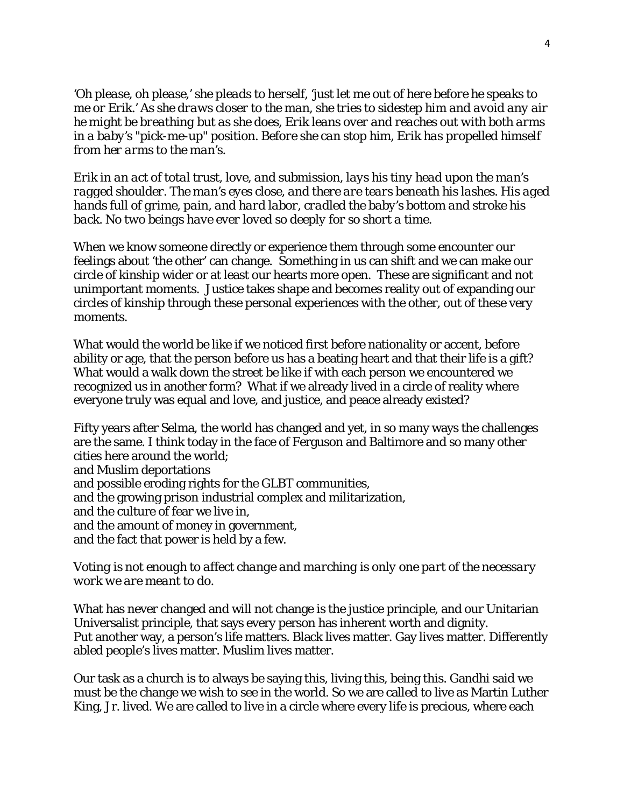*'Oh please, oh please,' she pleads to herself, 'just let me out of here before he speaks to me or Erik.' As she draws closer to the man, she tries to sidestep him and avoid any air he might be breathing but as she does, Erik leans over and reaches out with both arms in a baby's "pick-me-up" position. Before she can stop him, Erik has propelled himself from her arms to the man's.* 

*Erik in an act of total trust, love, and submission, lays his tiny head upon the man's ragged shoulder. The man's eyes close, and there are tears beneath his lashes. His aged hands full of grime, pain, and hard labor, cradled the baby's bottom and stroke his back. No two beings have ever loved so deeply for so short a time*.

When we know someone directly or experience them through some encounter our feelings about 'the other' can change. Something in us can shift and we can make our circle of kinship wider or at least our hearts more open. These are significant and not unimportant moments. Justice takes shape and becomes reality out of expanding our circles of kinship through these personal experiences with the other, out of these very moments.

What would the world be like if we noticed first before nationality or accent, before ability or age, that the person before us has a beating heart and that their life is a gift? What would a walk down the street be like if with each person we encountered we recognized *us* in another form? What if we already lived in a circle of reality where everyone truly was equal and love, and justice, and peace already existed?

Fifty years after Selma, the world has changed and yet, in so many ways the challenges are the same. I think today in the face of Ferguson and Baltimore and so many other cities here around the world; and Muslim deportations and possible eroding rights for the GLBT communities, and the growing prison industrial complex and militarization, and the culture of fear we live in, and the amount of money in government, and the fact that power is held by a few.

## *Voting is not enough to affect change and marching is only one part of the necessary work we are meant to do.*

What has never changed and will not change is the justice principle, and our Unitarian Universalist principle, that says every person has inherent worth and dignity. Put another way, a person's life matters. Black lives matter. Gay lives matter. Differently abled people's lives matter. Muslim lives matter.

Our task as a church is to always be saying this, living this, being this. Gandhi said we must be the change we wish to see in the world. So we are called to live as Martin Luther King, Jr. lived. We are called to live in a circle where every life is precious, where each